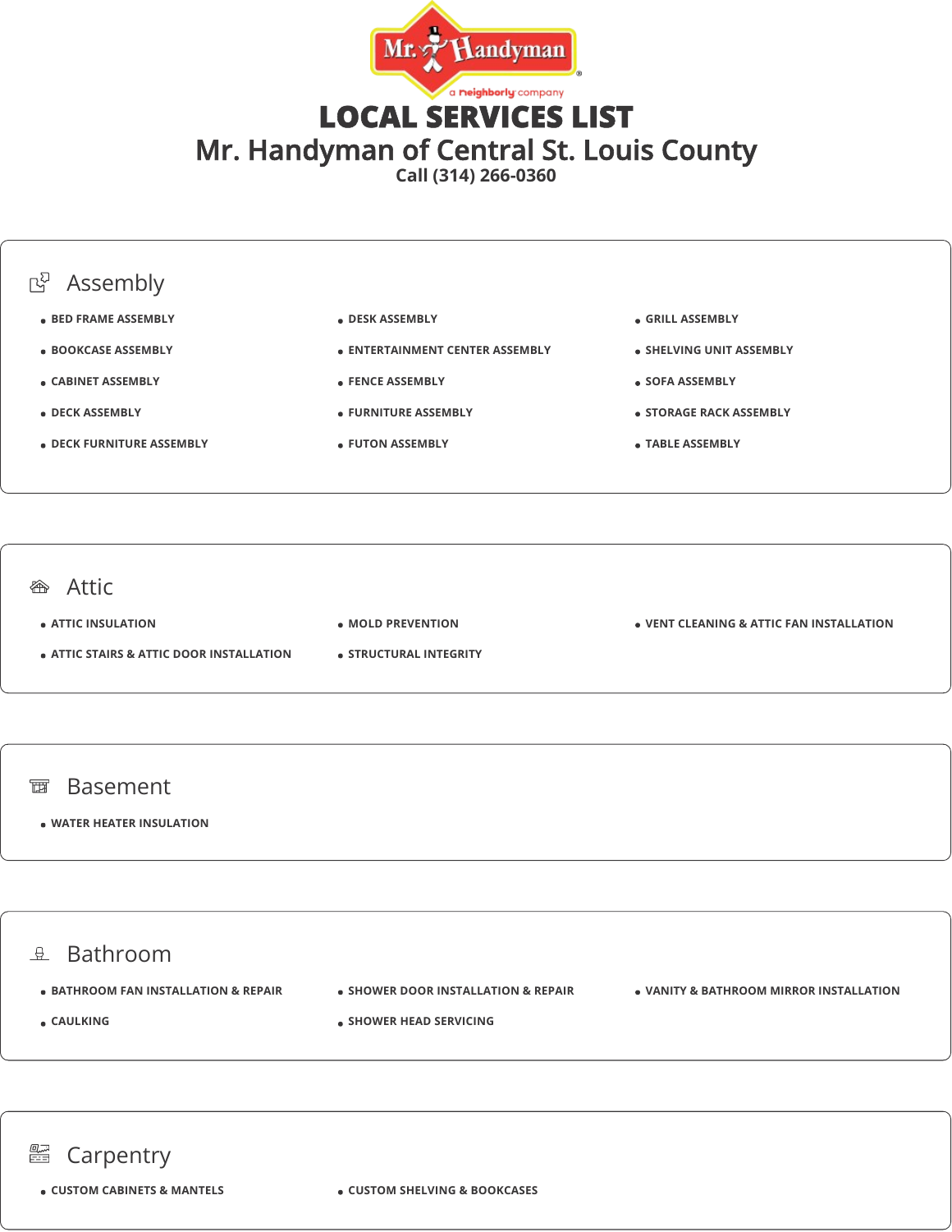

# LOCAL SERVICES LIST Mr. Handyman of Central St. Louis County

**Call (314) 266-0360**



### **<sup>企</sup>**Attic

**ATTIC INSULATION**

**ATTIC STAIRS & ATTIC DOOR INSTALLATION**

**VENT CLEANING & ATTIC FAN INSTALLATION**

**MOLD PREVENTION STRUCTURAL INTEGRITY**

- 面 Basement
	- **WATER HEATER INSULATION**

### $\theta$  Bathroom

- $\bullet$  **BATHROOM FAN INSTALLATION & REPAIR**
- **SHOWER DOOR INSTALLATION & REPAIR**

**SHOWER HEAD SERVICING**

**VANITY & BATHROOM MIRROR INSTALLATION**

- **CAULKING**
- 

## **■ Carpentry**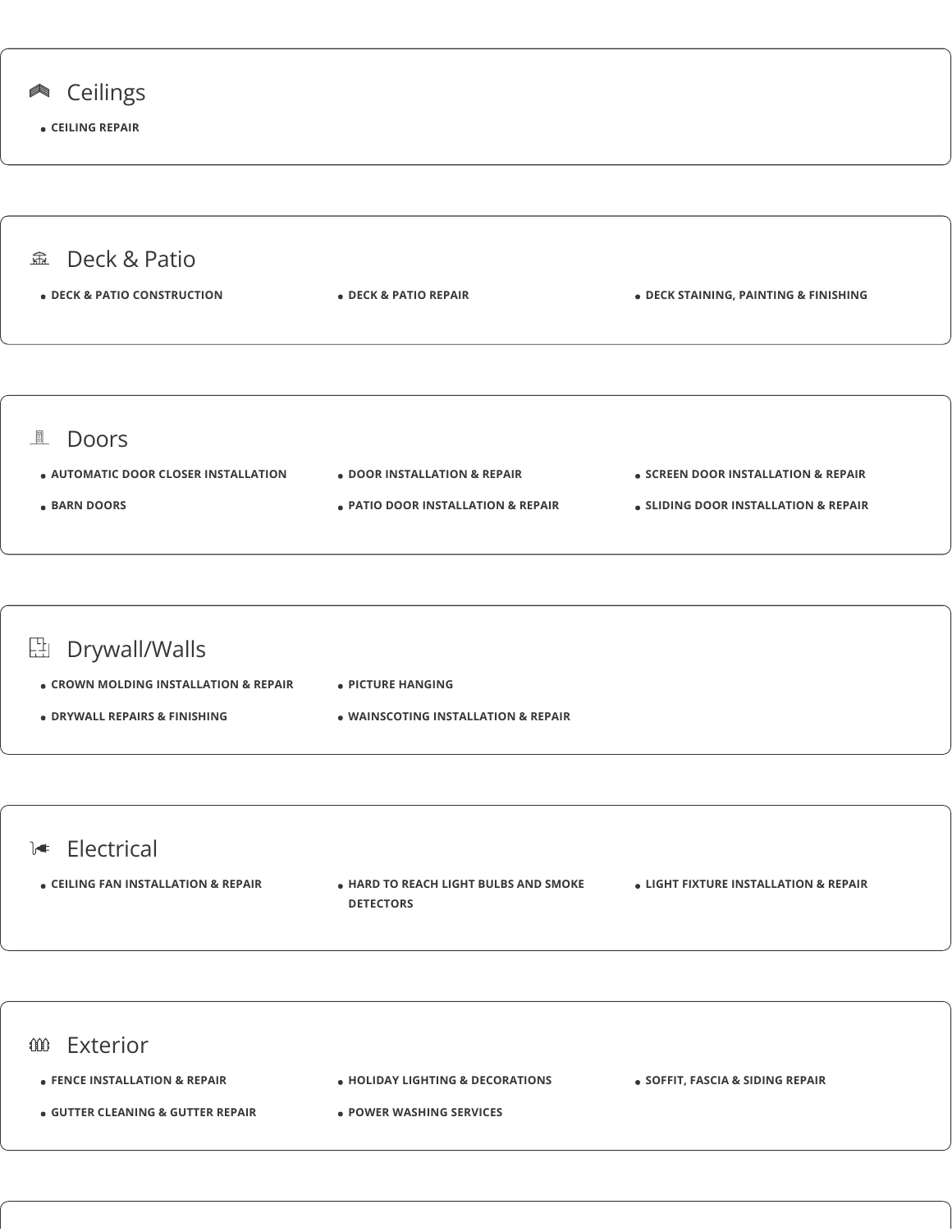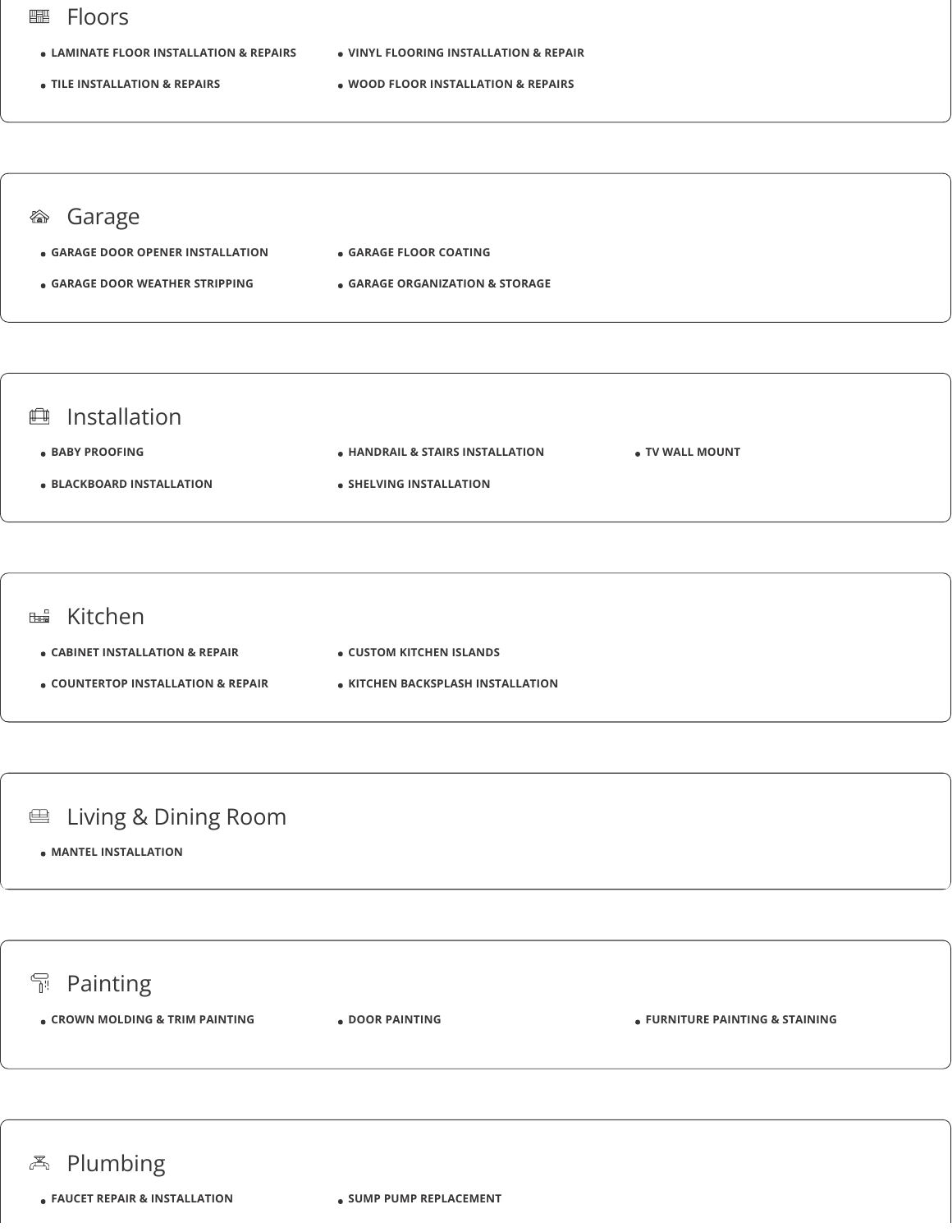#### Floors 疅

- **LAMINATE FLOOR INSTALLATION & REPAIRS**
- **VINYL FLOORING INSTALLATION & REPAIR**
- **TILE INSTALLATION & REPAIRS**
- **WOOD FLOOR INSTALLATION & REPAIRS**

### Garage

- **GARAGE DOOR OPENER INSTALLATION GARAGE FLOOR COATING**
- **GARAGE DOOR WEATHER STRIPPING**
- - **GARAGE ORGANIZATION & STORAGE**



### **EB** Kitchen **CABINET INSTALLATION & REPAIR COUNTERTOP INSTALLATION & REPAIR CUSTOM KITCHEN ISLANDS KITCHEN BACKSPLASH INSTALLATION**

## Living & Dining Room

**MANTEL INSTALLATION**



### **e** FAUCET REPAIR & INSTALLATION **b** SUMP PUMP REPLACEMENT